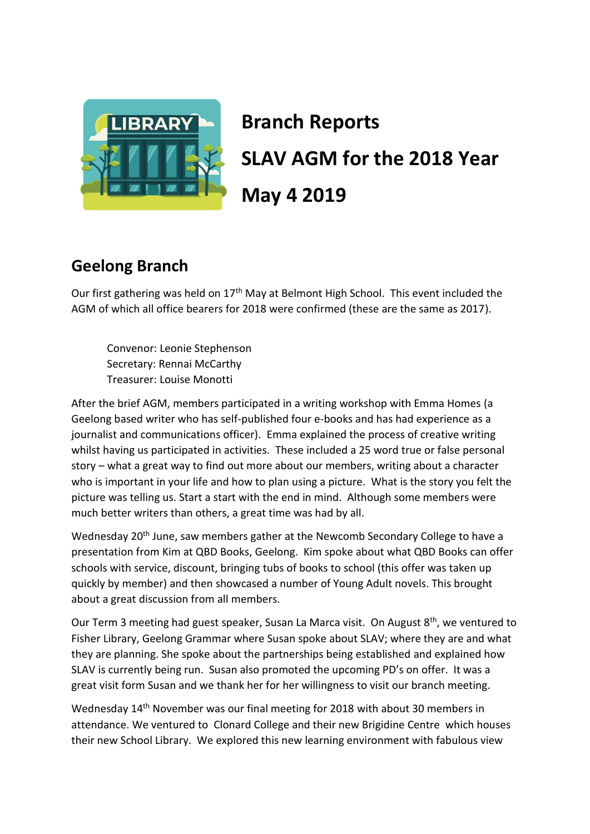

# **Branch Reports SLAV AGM for the 2018 Year May 4 2019**

# **Geelong Branch**

Our first gathering was held on 17<sup>th</sup> May at Belmont High School. This event included the AGM of which all office bearers for 2018 were confirmed (these are the same as 2017).

Convenor: Leonie Stephenson Secretary: Rennai McCarthy Treasurer: Louise Monotti

After the brief AGM, members participated in a writing workshop with Emma Homes (a Geelong based writer who has self-published four e-books and has had experience as a journalist and communications officer). Emma explained the process of creative writing whilst having us participated in activities. These included a 25 word true or false personal story – what a great way to find out more about our members, writing about a character who is important in your life and how to plan using a picture. What is the story you felt the picture was telling us. Start a start with the end in mind. Although some members were much better writers than others, a great time was had by all.

Wednesday 20<sup>th</sup> June, saw members gather at the Newcomb Secondary College to have a presentation from Kim at QBD Books, Geelong. Kim spoke about what QBD Books can offer schools with service, discount, bringing tubs of books to school (this offer was taken up quickly by member) and then showcased a number of Young Adult novels. This brought about a great discussion from all members.

Our Term 3 meeting had guest speaker, Susan La Marca visit. On August 8<sup>th</sup>, we ventured to Fisher Library, Geelong Grammar where Susan spoke about SLAV; where they are and what they are planning. She spoke about the partnerships being established and explained how SLAV is currently being run. Susan also promoted the upcoming PD's on offer. It was a great visit form Susan and we thank her for her willingness to visit our branch meeting.

Wednesday 14<sup>th</sup> November was our final meeting for 2018 with about 30 members in attendance. We ventured to Clonard College and their new Brigidine Centre which houses their new School Library. We explored this new learning environment with fabulous view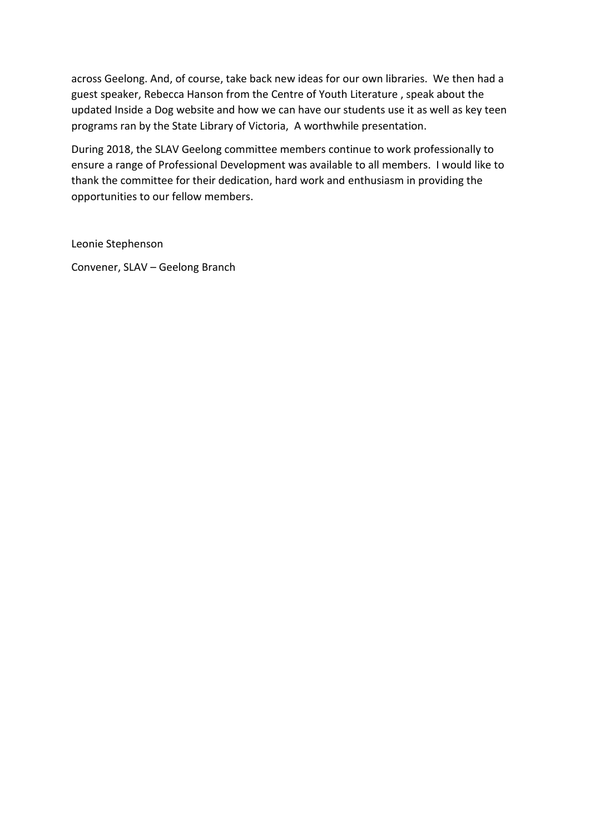across Geelong. And, of course, take back new ideas for our own libraries. We then had a guest speaker, Rebecca Hanson from the Centre of Youth Literature , speak about the updated Inside a Dog website and how we can have our students use it as well as key teen programs ran by the State Library of Victoria, A worthwhile presentation.

During 2018, the SLAV Geelong committee members continue to work professionally to ensure a range of Professional Development was available to all members. I would like to thank the committee for their dedication, hard work and enthusiasm in providing the opportunities to our fellow members.

Leonie Stephenson

Convener, SLAV – Geelong Branch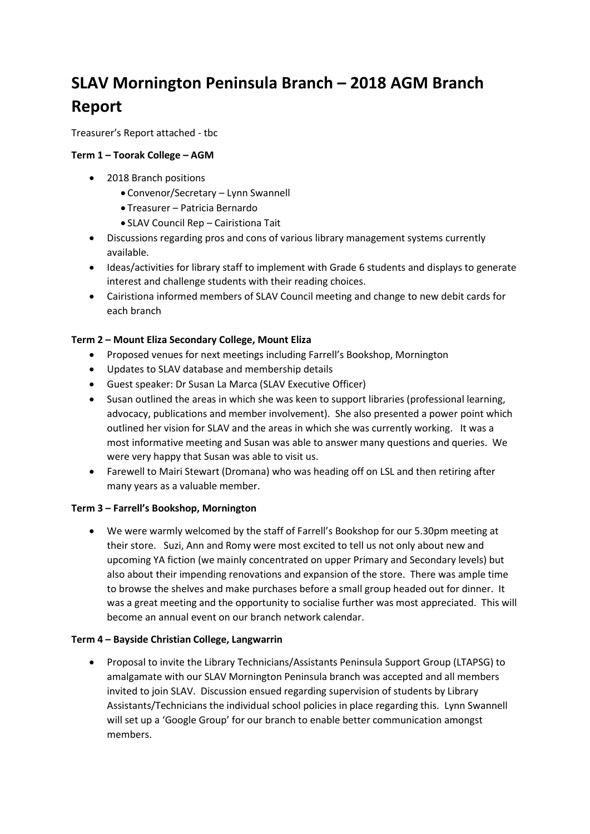# **SLAV Mornington Peninsula Branch – 2018 AGM Branch Report**

Treasurer's Report attached - tbc

#### **Term 1 – Toorak College – AGM**

- 2018 Branch positions
	- Convenor/Secretary Lynn Swannell
	- Treasurer Patricia Bernardo
	- SLAV Council Rep Cairistiona Tait
- Discussions regarding pros and cons of various library management systems currently available.
- Ideas/activities for library staff to implement with Grade 6 students and displays to generate interest and challenge students with their reading choices.
- Cairistiona informed members of SLAV Council meeting and change to new debit cards for each branch

#### **Term 2 – Mount Eliza Secondary College, Mount Eliza**

- Proposed venues for next meetings including Farrell's Bookshop, Mornington
- Updates to SLAV database and membership details
- Guest speaker: Dr Susan La Marca (SLAV Executive Officer)
- Susan outlined the areas in which she was keen to support libraries (professional learning, advocacy, publications and member involvement). She also presented a power point which outlined her vision for SLAV and the areas in which she was currently working. It was a most informative meeting and Susan was able to answer many questions and queries. We were very happy that Susan was able to visit us.
- Farewell to Mairi Stewart (Dromana) who was heading off on LSL and then retiring after many years as a valuable member.

#### **Term 3 – Farrell's Bookshop, Mornington**

• We were warmly welcomed by the staff of Farrell's Bookshop for our 5.30pm meeting at their store. Suzi, Ann and Romy were most excited to tell us not only about new and upcoming YA fiction (we mainly concentrated on upper Primary and Secondary levels) but also about their impending renovations and expansion of the store. There was ample time to browse the shelves and make purchases before a small group headed out for dinner. It was a great meeting and the opportunity to socialise further was most appreciated. This will become an annual event on our branch network calendar.

#### **Term 4 – Bayside Christian College, Langwarrin**

• Proposal to invite the Library Technicians/Assistants Peninsula Support Group (LTAPSG) to amalgamate with our SLAV Mornington Peninsula branch was accepted and all members invited to join SLAV. Discussion ensued regarding supervision of students by Library Assistants/Technicians the individual school policies in place regarding this. Lynn Swannell will set up a 'Google Group' for our branch to enable better communication amongst members.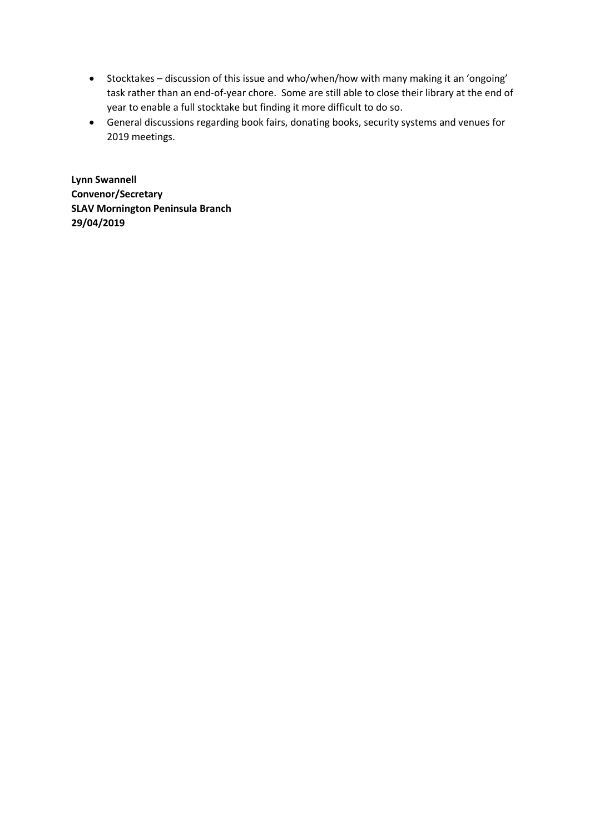- Stocktakes discussion of this issue and who/when/how with many making it an 'ongoing' task rather than an end-of-year chore. Some are still able to close their library at the end of year to enable a full stocktake but finding it more difficult to do so.
- General discussions regarding book fairs, donating books, security systems and venues for 2019 meetings.

**Lynn Swannell Convenor/Secretary SLAV Mornington Peninsula Branch 29/04/2019**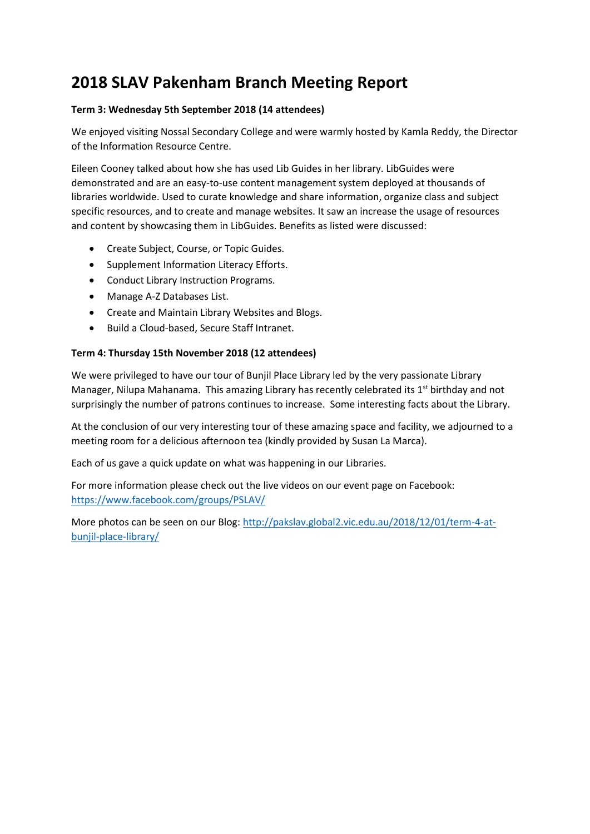# **2018 SLAV Pakenham Branch Meeting Report**

#### **Term 3: Wednesday 5th September 2018 (14 attendees)**

We enjoyed visiting Nossal Secondary College and were warmly hosted by Kamla Reddy, the Director of the Information Resource Centre.

Eileen Cooney talked about how she has used Lib Guides in her library. LibGuides were demonstrated and are an easy-to-use content management system deployed at thousands of libraries worldwide. Used to curate knowledge and share information, organize class and subject specific resources, and to create and manage websites. It saw an increase the usage of resources and content by showcasing them in LibGuides. Benefits as listed were discussed:

- Create Subject, Course, or Topic Guides.
- Supplement Information Literacy Efforts.
- Conduct Library Instruction Programs.
- Manage A-Z Databases List.
- Create and Maintain Library Websites and Blogs.
- Build a Cloud-based, Secure Staff Intranet.

#### **Term 4: Thursday 15th November 2018 (12 attendees)**

We were privileged to have our tour of Bunjil Place Library led by the very passionate Library Manager, Nilupa Mahanama. This amazing Library has recently celebrated its  $1<sup>st</sup>$  birthday and not surprisingly the number of patrons continues to increase. Some interesting facts about the Library.

At the conclusion of our very interesting tour of these amazing space and facility, we adjourned to a meeting room for a delicious afternoon tea (kindly provided by Susan La Marca).

Each of us gave a quick update on what was happening in our Libraries.

For more information please check out the live videos on our event page on Facebook: <https://www.facebook.com/groups/PSLAV/>

More photos can be seen on our Blog: [http://pakslav.global2.vic.edu.au/2018/12/01/term-4-at](http://pakslav.global2.vic.edu.au/2018/12/01/term-4-at-bunjil-place-library/)[bunjil-place-library/](http://pakslav.global2.vic.edu.au/2018/12/01/term-4-at-bunjil-place-library/)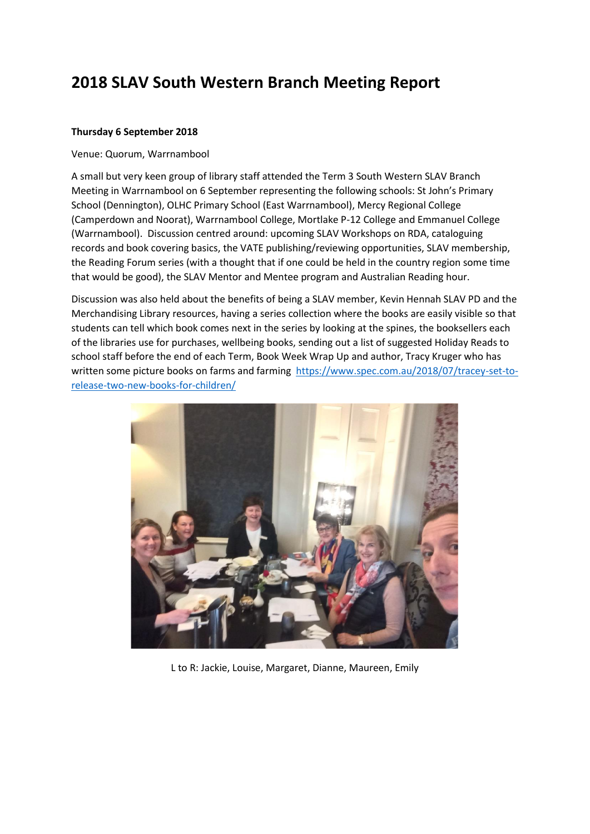# **2018 SLAV South Western Branch Meeting Report**

#### **Thursday 6 September 2018**

#### Venue: Quorum, Warrnambool

A small but very keen group of library staff attended the Term 3 South Western SLAV Branch Meeting in Warrnambool on 6 September representing the following schools: St John's Primary School (Dennington), OLHC Primary School (East Warrnambool), Mercy Regional College (Camperdown and Noorat), Warrnambool College, Mortlake P-12 College and Emmanuel College (Warrnambool). Discussion centred around: upcoming SLAV Workshops on RDA, cataloguing records and book covering basics, the VATE publishing/reviewing opportunities, SLAV membership, the Reading Forum series (with a thought that if one could be held in the country region some time that would be good), the SLAV Mentor and Mentee program and Australian Reading hour.

Discussion was also held about the benefits of being a SLAV member, Kevin Hennah SLAV PD and the Merchandising Library resources, having a series collection where the books are easily visible so that students can tell which book comes next in the series by looking at the spines, the booksellers each of the libraries use for purchases, wellbeing books, sending out a list of suggested Holiday Reads to school staff before the end of each Term, Book Week Wrap Up and author, Tracy Kruger who has written some picture books on farms and farming [https://www.spec.com.au/2018/07/tracey-set-to](https://www.spec.com.au/2018/07/tracey-set-to-release-two-new-books-for-children/)[release-two-new-books-for-children/](https://www.spec.com.au/2018/07/tracey-set-to-release-two-new-books-for-children/)



L to R: Jackie, Louise, Margaret, Dianne, Maureen, Emily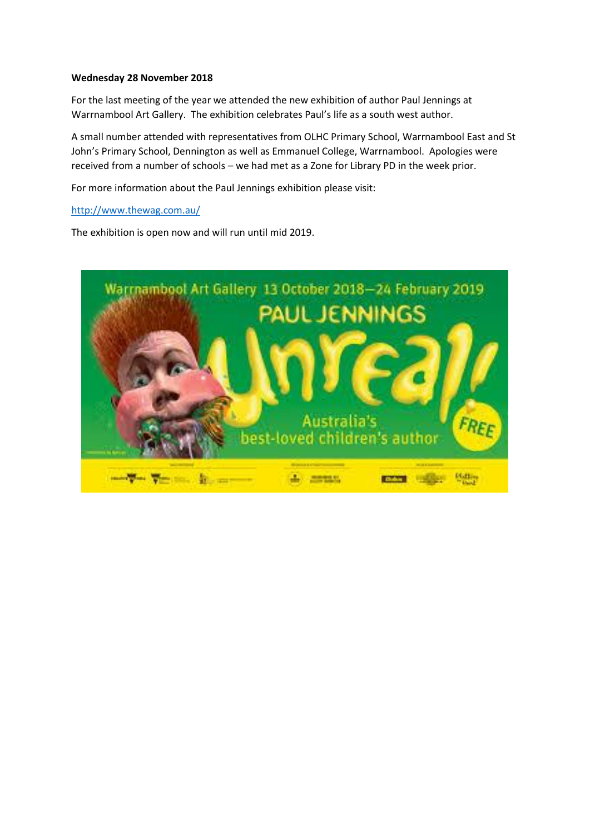#### **Wednesday 28 November 2018**

For the last meeting of the year we attended the new exhibition of author Paul Jennings at Warrnambool Art Gallery. The exhibition celebrates Paul's life as a south west author.

A small number attended with representatives from OLHC Primary School, Warrnambool East and St John's Primary School, Dennington as well as Emmanuel College, Warrnambool. Apologies were received from a number of schools – we had met as a Zone for Library PD in the week prior.

For more information about the Paul Jennings exhibition please visit:

<http://www.thewag.com.au/>

The exhibition is open now and will run until mid 2019.

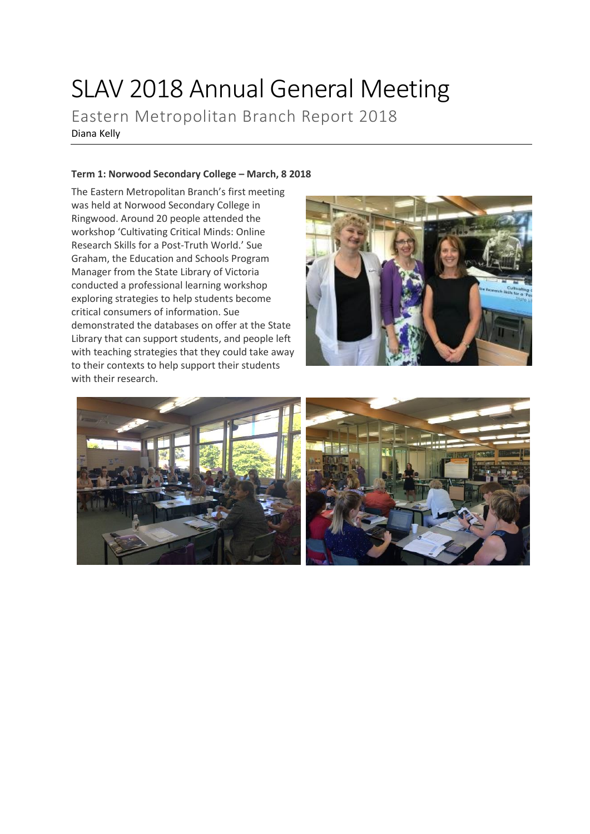# SLAV 2018 Annual General Meeting

Eastern Metropolitan Branch Report 2018 Diana Kelly

#### **Term 1: Norwood Secondary College – March, 8 2018**

The Eastern Metropolitan Branch's first meeting was held at Norwood Secondary College in Ringwood. Around 20 people attended the workshop 'Cultivating Critical Minds: Online Research Skills for a Post-Truth World.' Sue Graham, the Education and Schools Program Manager from the State Library of Victoria conducted a professional learning workshop exploring strategies to help students become critical consumers of information. Sue demonstrated the databases on offer at the State Library that can support students, and people left with teaching strategies that they could take away to their contexts to help support their students with their research.



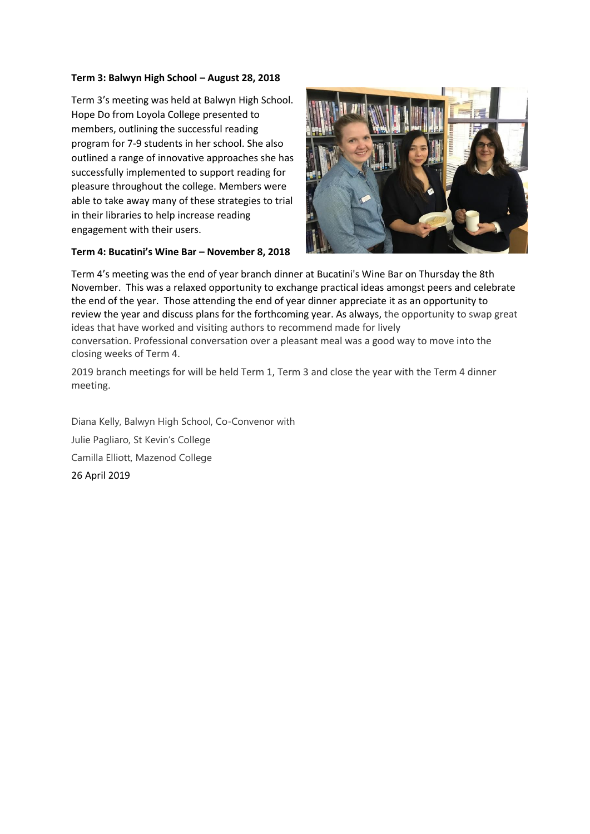#### **Term 3: Balwyn High School – August 28, 2018**

Term 3's meeting was held at Balwyn High School. Hope Do from Loyola College presented to members, outlining the successful reading program for 7-9 students in her school. She also outlined a range of innovative approaches she has successfully implemented to support reading for pleasure throughout the college. Members were able to take away many of these strategies to trial in their libraries to help increase reading engagement with their users.





Term 4's meeting was the end of year branch dinner at Bucatini's Wine Bar on Thursday the 8th November. This was a relaxed opportunity to exchange practical ideas amongst peers and celebrate the end of the year. Those attending the end of year dinner appreciate it as an opportunity to review the year and discuss plans for the forthcoming year. As always, the opportunity to swap great ideas that have worked and visiting authors to recommend made for lively conversation. Professional conversation over a pleasant meal was a good way to move into the closing weeks of Term 4.

2019 branch meetings for will be held Term 1, Term 3 and close the year with the Term 4 dinner meeting.

Diana Kelly, Balwyn High School, Co-Convenor with Julie Pagliaro, St Kevin's College Camilla Elliott, Mazenod College 26 April 2019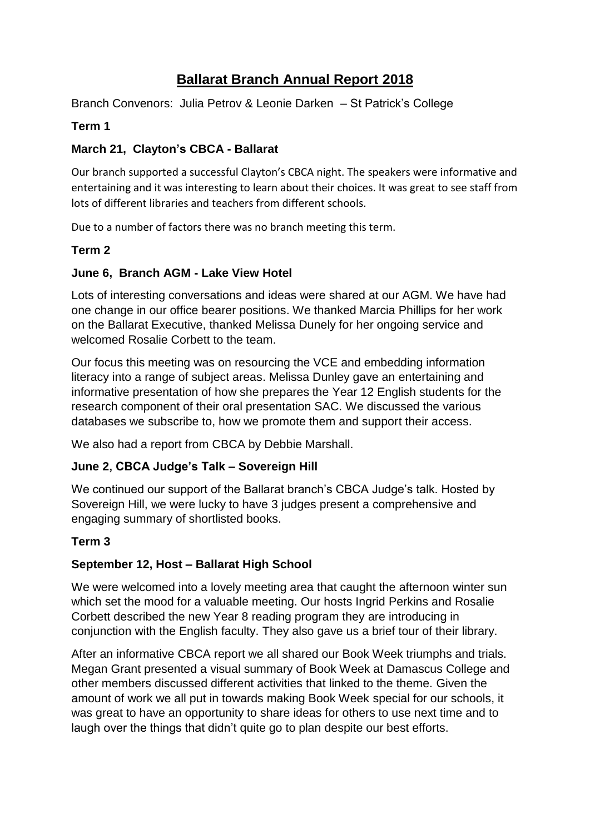# **Ballarat Branch Annual Report 2018**

Branch Convenors: Julia Petrov & Leonie Darken – St Patrick's College

## **Term 1**

# **March 21, Clayton's CBCA - Ballarat**

Our branch supported a successful Clayton's CBCA night. The speakers were informative and entertaining and it was interesting to learn about their choices. It was great to see staff from lots of different libraries and teachers from different schools.

Due to a number of factors there was no branch meeting this term.

## **Term 2**

## **June 6, Branch AGM - Lake View Hotel**

Lots of interesting conversations and ideas were shared at our AGM. We have had one change in our office bearer positions. We thanked Marcia Phillips for her work on the Ballarat Executive, thanked Melissa Dunely for her ongoing service and welcomed Rosalie Corbett to the team.

Our focus this meeting was on resourcing the VCE and embedding information literacy into a range of subject areas. Melissa Dunley gave an entertaining and informative presentation of how she prepares the Year 12 English students for the research component of their oral presentation SAC. We discussed the various databases we subscribe to, how we promote them and support their access.

We also had a report from CBCA by Debbie Marshall.

## **June 2, CBCA Judge's Talk – Sovereign Hill**

We continued our support of the Ballarat branch's CBCA Judge's talk. Hosted by Sovereign Hill, we were lucky to have 3 judges present a comprehensive and engaging summary of shortlisted books.

## **Term 3**

## **September 12, Host – Ballarat High School**

We were welcomed into a lovely meeting area that caught the afternoon winter sun which set the mood for a valuable meeting. Our hosts Ingrid Perkins and Rosalie Corbett described the new Year 8 reading program they are introducing in conjunction with the English faculty. They also gave us a brief tour of their library.

After an informative CBCA report we all shared our Book Week triumphs and trials. Megan Grant presented a visual summary of Book Week at Damascus College and other members discussed different activities that linked to the theme. Given the amount of work we all put in towards making Book Week special for our schools, it was great to have an opportunity to share ideas for others to use next time and to laugh over the things that didn't quite go to plan despite our best efforts.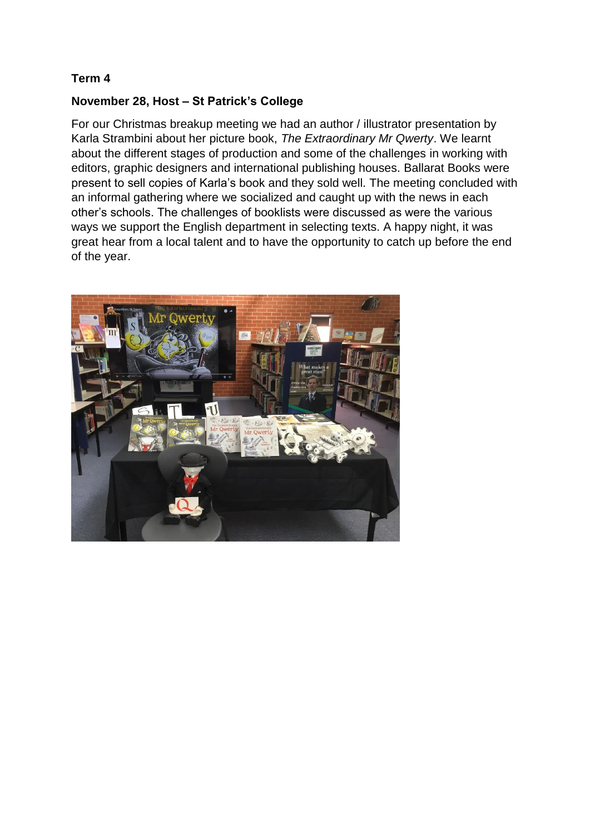## **November 28, Host – St Patrick's College**

For our Christmas breakup meeting we had an author / illustrator presentation by Karla Strambini about her picture book, *The Extraordinary Mr Qwerty*. We learnt about the different stages of production and some of the challenges in working with editors, graphic designers and international publishing houses. Ballarat Books were present to sell copies of Karla's book and they sold well. The meeting concluded with an informal gathering where we socialized and caught up with the news in each other's schools. The challenges of booklists were discussed as were the various ways we support the English department in selecting texts. A happy night, it was great hear from a local talent and to have the opportunity to catch up before the end of the year.

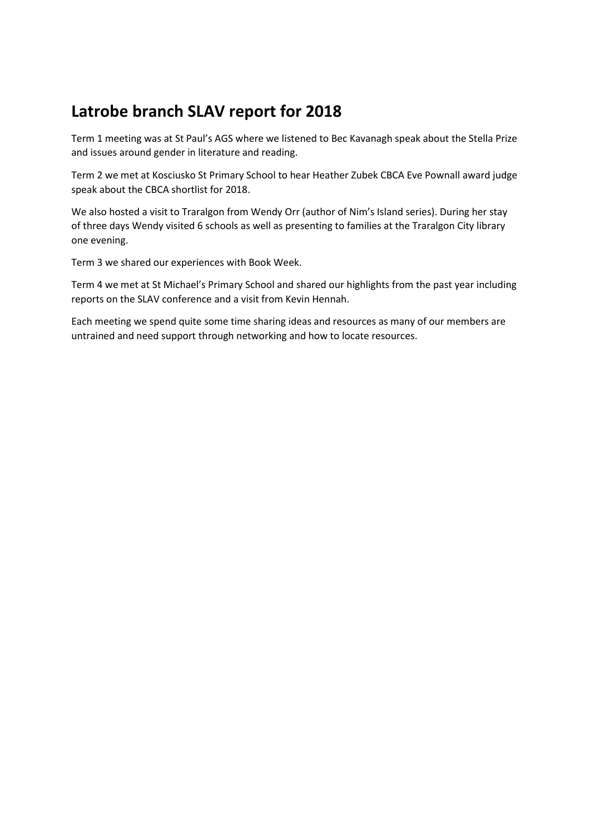# **Latrobe branch SLAV report for 2018**

Term 1 meeting was at St Paul's AGS where we listened to Bec Kavanagh speak about the Stella Prize and issues around gender in literature and reading.

Term 2 we met at Kosciusko St Primary School to hear Heather Zubek CBCA Eve Pownall award judge speak about the CBCA shortlist for 2018.

We also hosted a visit to Traralgon from Wendy Orr (author of Nim's Island series). During her stay of three days Wendy visited 6 schools as well as presenting to families at the Traralgon City library one evening.

Term 3 we shared our experiences with Book Week.

Term 4 we met at St Michael's Primary School and shared our highlights from the past year including reports on the SLAV conference and a visit from Kevin Hennah.

Each meeting we spend quite some time sharing ideas and resources as many of our members are untrained and need support through networking and how to locate resources.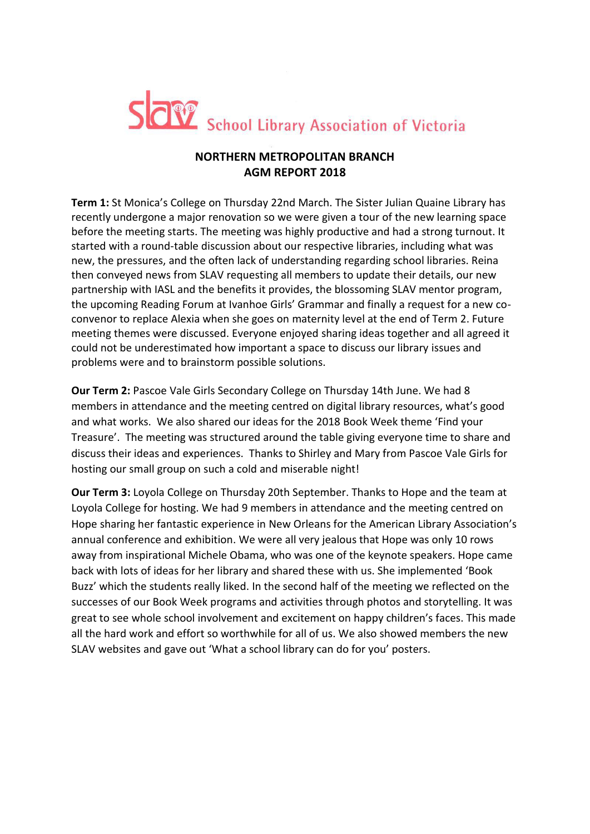

# **NORTHERN METROPOLITAN BRANCH AGM REPORT 2018**

**Term 1:** St Monica's College on Thursday 22nd March. The Sister Julian Quaine Library has recently undergone a major renovation so we were given a tour of the new learning space before the meeting starts. The meeting was highly productive and had a strong turnout. It started with a round-table discussion about our respective libraries, including what was new, the pressures, and the often lack of understanding regarding school libraries. Reina then conveyed news from SLAV requesting all members to update their details, our new partnership with IASL and the benefits it provides, the blossoming SLAV mentor program, the upcoming Reading Forum at Ivanhoe Girls' Grammar and finally a request for a new coconvenor to replace Alexia when she goes on maternity level at the end of Term 2. Future meeting themes were discussed. Everyone enjoyed sharing ideas together and all agreed it could not be underestimated how important a space to discuss our library issues and problems were and to brainstorm possible solutions.

**Our Term 2:** Pascoe Vale Girls Secondary College on Thursday 14th June. We had 8 members in attendance and the meeting centred on digital library resources, what's good and what works. We also shared our ideas for the 2018 Book Week theme 'Find your Treasure'. The meeting was structured around the table giving everyone time to share and discuss their ideas and experiences. Thanks to Shirley and Mary from Pascoe Vale Girls for hosting our small group on such a cold and miserable night!

**Our Term 3:** Loyola College on Thursday 20th September. Thanks to Hope and the team at Loyola College for hosting. We had 9 members in attendance and the meeting centred on Hope sharing her fantastic experience in New Orleans for the American Library Association's annual conference and exhibition. We were all very jealous that Hope was only 10 rows away from inspirational Michele Obama, who was one of the keynote speakers. Hope came back with lots of ideas for her library and shared these with us. She implemented 'Book Buzz' which the students really liked. In the second half of the meeting we reflected on the successes of our Book Week programs and activities through photos and storytelling. It was great to see whole school involvement and excitement on happy children's faces. This made all the hard work and effort so worthwhile for all of us. We also showed members the new SLAV websites and gave out 'What a school library can do for you' posters.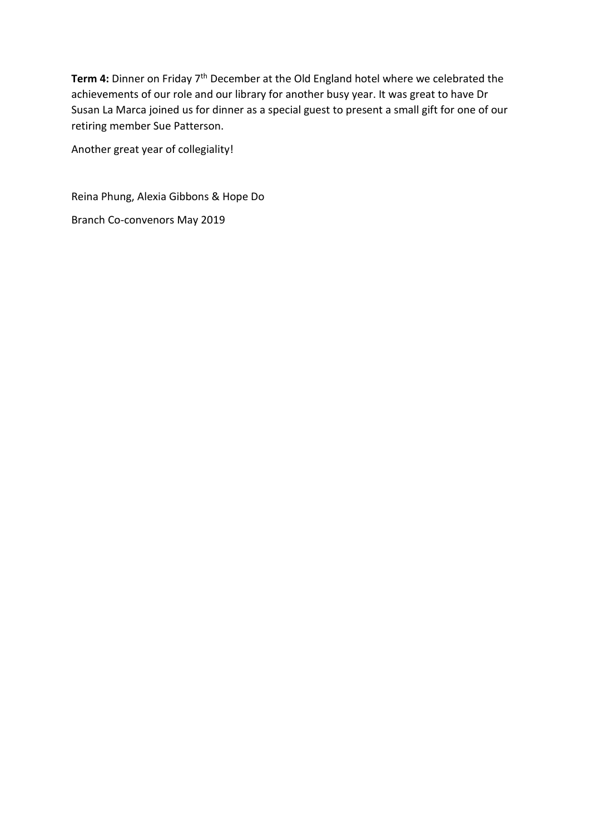**Term 4:** Dinner on Friday 7th December at the Old England hotel where we celebrated the achievements of our role and our library for another busy year. It was great to have Dr Susan La Marca joined us for dinner as a special guest to present a small gift for one of our retiring member Sue Patterson.

Another great year of collegiality!

Reina Phung, Alexia Gibbons & Hope Do

Branch Co-convenors May 2019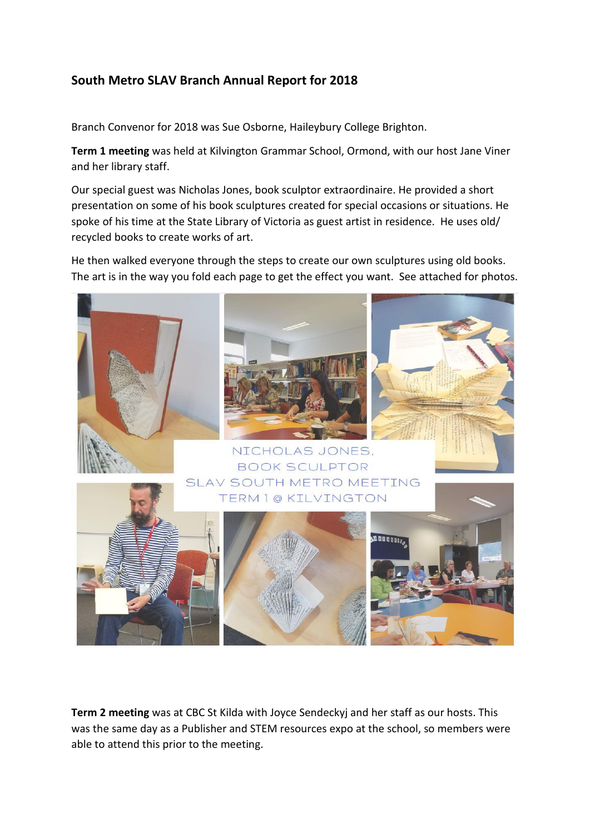# **South Metro SLAV Branch Annual Report for 2018**

Branch Convenor for 2018 was Sue Osborne, Haileybury College Brighton.

**Term 1 meeting** was held at Kilvington Grammar School, Ormond, with our host Jane Viner and her library staff.

Our special guest was Nicholas Jones, book sculptor extraordinaire. He provided a short presentation on some of his book sculptures created for special occasions or situations. He spoke of his time at the State Library of Victoria as guest artist in residence. He uses old/ recycled books to create works of art.

He then walked everyone through the steps to create our own sculptures using old books. The art is in the way you fold each page to get the effect you want. See attached for photos.



**Term 2 meeting** was at CBC St Kilda with Joyce Sendeckyj and her staff as our hosts. This was the same day as a Publisher and STEM resources expo at the school, so members were able to attend this prior to the meeting.